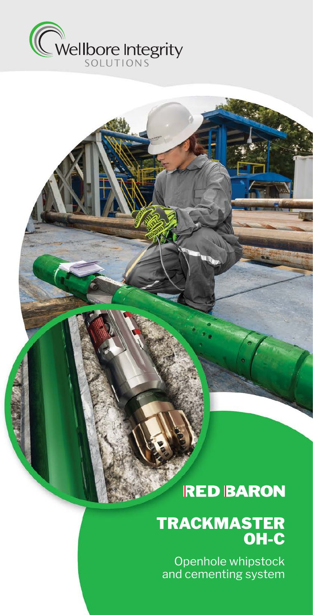

## **RED BARON**

### TRACKMASTER OH-C

Openhole whipstock and cementing system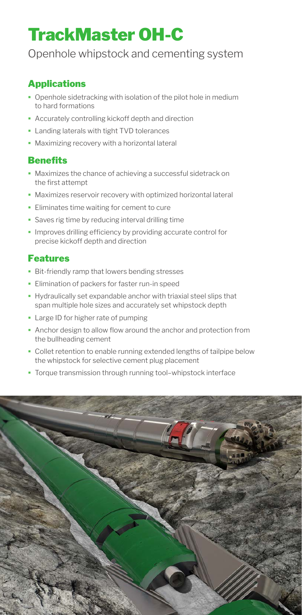## TrackMaster OH-C

### Openhole whipstock and cementing system

#### Applications

- Openhole sidetracking with isolation of the pilot hole in medium to hard formations
- Accurately controlling kickoff depth and direction
- **-** Landing laterals with tight TVD tolerances
- Maximizing recovery with a horizontal lateral

#### **Benefits**

- Maximizes the chance of achieving a successful sidetrack on the first attempt
- Maximizes reservoir recovery with optimized horizontal lateral
- **Eliminates time waiting for cement to cure**
- **Saves rig time by reducing interval drilling time**
- **Improves drilling efficiency by providing accurate control for** precise kickoff depth and direction

#### Features

- **Bit-friendly ramp that lowers bending stresses**
- **Elimination of packers for faster run-in speed**
- Hydraulically set expandable anchor with triaxial steel slips that span multiple hole sizes and accurately set whipstock depth
- **Large ID for higher rate of pumping**
- Anchor design to allow flow around the anchor and protection from the bullheading cement
- Collet retention to enable running extended lengths of tailpipe below the whipstock for selective cement plug placement
- Torque transmission through running tool–whipstock interface

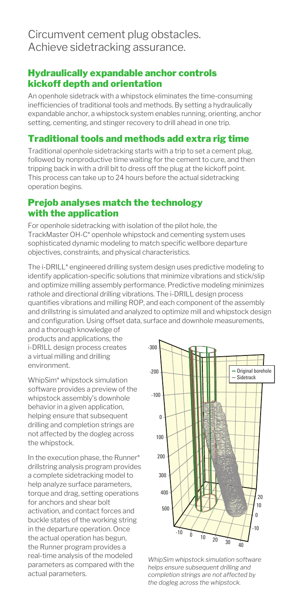#### Hydraulically expandable anchor controls kickoff depth and orientation

An openhole sidetrack with a whipstock eliminates the time-consuming inefficiencies of traditional tools and methods. By setting a hydraulically expandable anchor, a whipstock system enables running, orienting, anchor setting, cementing, and stinger recovery to drill ahead in one trip.

#### Traditional tools and methods add extra rig time

Traditional openhole sidetracking starts with a trip to set a cement plug, followed by nonproductive time waiting for the cement to cure, and then tripping back in with a drill bit to dress off the plug at the kickoff point. This process can take up to 24 hours before the actual sidetracking operation begins.

#### Prejob analyses match the technology with the application

For openhole sidetracking with isolation of the pilot hole, the TrackMaster OH-C\* openhole whipstock and cementing system uses sophisticated dynamic modeling to match specific wellbore departure objectives, constraints, and physical characteristics.

The i-DRILL\* engineered drilling system design uses predictive modeling to identify application-specific solutions that minimize vibrations and stick/slip and optimize milling assembly performance. Predictive modeling minimizes rathole and directional drilling vibrations. The i-DRILL design process quantifies vibrations and milling ROP, and each component of the assembly and drillstring is simulated and analyzed to optimize mill and whipstock design and configuration. Using offset data, surface and downhole measurements,

and a thorough knowledge of products and applications, the i-DRILL design process creates a virtual milling and drilling environment.

WhipSim\* whipstock simulation software provides a preview of the whipstock assembly's downhole behavior in a given application, helping ensure that subsequent drilling and completion strings are not affected by the dogleg across the whipstock.

In the execution phase, the Runner\* drillstring analysis program provides a complete sidetracking model to help analyze surface parameters, torque and drag, setting operations for anchors and shear bolt activation, and contact forces and buckle states of the working string in the departure operation. Once the actual operation has begun, the Runner program provides a real-time analysis of the modeled parameters as compared with the actual parameters.



*WhipSim whipstock simulation software helps ensure subsequent drilling and completion strings are not affected by the dogleg across the whipstock.*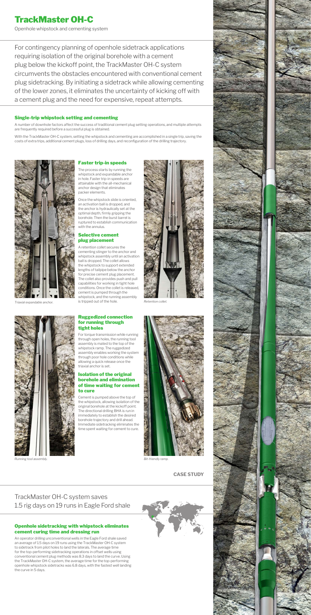# TrackMaster OH-C

Openhole whipstock and cementing system

For contingency planning of openhole sidetrack applications requiring isolation of the original borehole with a cement plug below the kickoff point, the TrackMaster OH-C system circumvents the obstacles encountered with conventional cement plug sidetracking. By initiating a sidetrack while allowing cementing of the lower zones, it eliminates the uncertainty of kicking off with a cement plug and the need for expensive, repeat attempts.

#### Single-trip whipstock setting and cementing

A number of downhole factors affect the success of traditional cement plug setting operations, and multiple attempts are frequently required before a successful plug is obtained.

With the TrackMaster OH-C system, setting the whipstock and cementing are accomplished in a single trip, saving the costs of extra trips, additional cement plugs, loss of drilling days, and reconfiguration of the drilling trajectory.



*Triaxial expandable anchor. Retention collet. Retention collet. Retention collet.* A retention collet secures the cementing stinger to the anchor and whipstock assembly until an activation ball is dropped. The collet allows the whipstock to support extended lengths of tailpipe below the anchor for precise cement plug placement. The collet also provides push and pull capabilities for working in tight hole conditions. Once the collet is released, cement is pumped through the whipstock, and the running assembly is tripped out of the hole.









*Running tool assembly. Bit-friendly ramp.*



The process starts by running the whipstock and expandable anchor in hole. Faster trip-in speeds are attainable with the all-mechanical anchor design that eliminates packer elements.

Once the whipstock slide is oriented, an activation ball is dropped, and the anchor is hydraulically set at the optimal depth, firmly gripping the borehole. Then the burst barrel is ruptured to establish communication with the annulus.

#### Selective cement plug placement

#### Ruggedized connection for running through tight holes

For torque transmission while running through open holes, the running tool assembly is mated to the top of the whipstock ramp. The ruggedized sembly enables working the syst through poor hole conditions while allowing a quick release once the triaxial anchor is set.

#### Isolation of the original borehole and elimination of time waiting for cement to cure

Cement is pumped above the top of the whipstock, allowing isolation of the original borehole at the kickoff point. The directional drilling BHA is run in immediately to establish the desired borehole trajectory and drill ahead. Immediate sidetracking eliminates the time spent waiting for cement to cure.



#### Openhole sidetracking with whipstock eliminates cement curing time and dressing run

An operator drilling unconventional wells in the Eagle Ford shale saved an average of 1.5 days on 19 runs using the TrackMaster OH-C system to sidetrack from pilot holes to land the laterals. The average time for the top-performing sidetracking operations in offset wells using conventional cement plug methods was 8.3 days to land the curve. Using the TrackMaster OH-C system, the average time for the top-performing openhole whipstock sidetracks was 6.8 days, with the fastest well landing the curve in 5 days.

### TrackMaster OH-C system saves 1.5 rig days on 19 runs in Eagle Ford shale

**CASE STUDY**